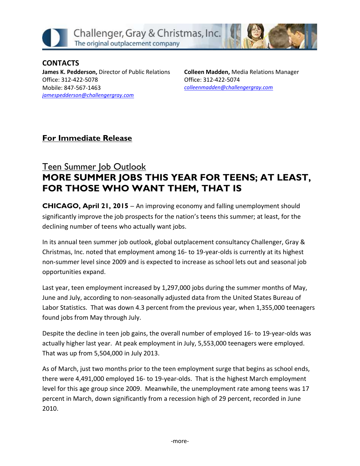

**CONTACTS James K. Pedderson,** Director of Public Relations Office: 312-422-5078 Mobile: 847-567-1463 *[jamespedderson@challengergray.com](mailto:jamespedderson@challengergray.com)*

**Colleen Madden,** Media Relations Manager Office: 312-422-5074 *[colleenmadden@challengergray.com](mailto:colleenmadden@challengergray.com)*

## **For Immediate Release**

## Teen Summer Job Outlook **MORE SUMMER JOBS THIS YEAR FOR TEENS; AT LEAST, FOR THOSE WHO WANT THEM, THAT IS**

**CHICAGO, April 21, 2015** – An improving economy and falling unemployment should significantly improve the job prospects for the nation's teens this summer; at least, for the declining number of teens who actually want jobs.

In its annual teen summer job outlook, global outplacement consultancy Challenger, Gray & Christmas, Inc. noted that employment among 16- to 19-year-olds is currently at its highest non-summer level since 2009 and is expected to increase as school lets out and seasonal job opportunities expand.

Last year, teen employment increased by 1,297,000 jobs during the summer months of May, June and July, according to non-seasonally adjusted data from the United States Bureau of Labor Statistics. That was down 4.3 percent from the previous year, when 1,355,000 teenagers found jobs from May through July.

Despite the decline in teen job gains, the overall number of employed 16- to 19-year-olds was actually higher last year. At peak employment in July, 5,553,000 teenagers were employed. That was up from 5,504,000 in July 2013.

As of March, just two months prior to the teen employment surge that begins as school ends, there were 4,491,000 employed 16- to 19-year-olds. That is the highest March employment level for this age group since 2009. Meanwhile, the unemployment rate among teens was 17 percent in March, down significantly from a recession high of 29 percent, recorded in June 2010.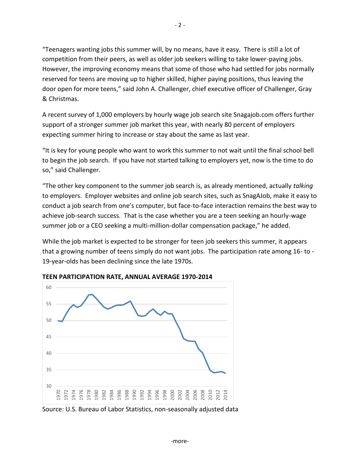"Teenagers wanting jobs this summer will, by no means, have it easy. There is still a lot of competition from their peers, as well as older job seekers willing to take lower-paying jobs. However, the improving economy means that some of those who had settled for jobs normally reserved for teens are moving up to higher skilled, higher paying positions, thus leaving the door open for more teens," said John A. Challenger, chief executive officer of Challenger, Gray & Christmas.

A recent survey of 1,000 employers by hourly wage job search site Snagajob.com offers further support of a stronger summer job market this year, with nearly 80 percent of employers expecting summer hiring to increase or stay about the same as last year.

"It is key for young people who want to work this summer to not wait until the final school bell to begin the job search. If you have not started talking to employers yet, now is the time to do so," said Challenger.

"The other key component to the summer job search is, as already mentioned, actually *talking* to employers. Employer websites and online job search sites, such as SnagAJob, make it easy to conduct a job search from one's computer, but face-to-face interaction remains the best way to achieve job-search success. That is the case whether you are a teen seeking an hourly-wage summer job or a CEO seeking a multi-million-dollar compensation package," he added.

While the job market is expected to be stronger for teen job seekers this summer, it appears that a growing number of teens simply do not want jobs. The participation rate among 16- to - 19-year-olds has been declining since the late 1970s.



**TEEN PARTICIPATION RATE, ANNUAL AVERAGE 1970-2014** 

Source: U.S. Bureau of Labor Statistics, non-seasonally adjusted data